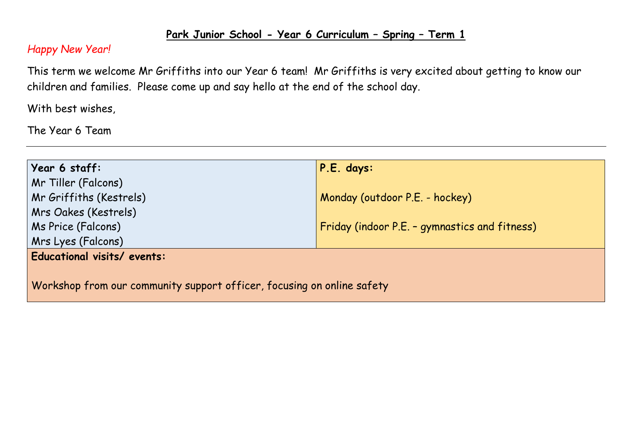## **Park Junior School - Year 6 Curriculum – Spring – Term 1**

## *Happy New Year!*

This term we welcome Mr Griffiths into our Year 6 team! Mr Griffiths is very excited about getting to know our children and families. Please come up and say hello at the end of the school day.

With best wishes,

The Year 6 Team

| Year 6 staff:                                                          | $P.E.$ days:                                  |  |  |  |  |
|------------------------------------------------------------------------|-----------------------------------------------|--|--|--|--|
| Mr Tiller (Falcons)                                                    |                                               |  |  |  |  |
| Mr Griffiths (Kestrels)                                                | Monday (outdoor P.E. - hockey)                |  |  |  |  |
| Mrs Oakes (Kestrels)                                                   |                                               |  |  |  |  |
| Ms Price (Falcons)                                                     | Friday (indoor P.E. - gymnastics and fitness) |  |  |  |  |
| Mrs Lyes (Falcons)                                                     |                                               |  |  |  |  |
| Educational visits/ events:                                            |                                               |  |  |  |  |
|                                                                        |                                               |  |  |  |  |
| Workshop from our community support officer, focusing on online safety |                                               |  |  |  |  |